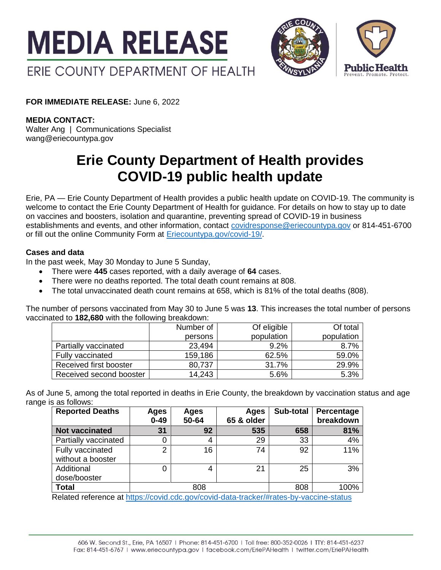



**FOR IMMEDIATE RELEASE:** June 6, 2022

## **MEDIA CONTACT:**

Walter Ang | Communications Specialist wang@eriecountypa.gov

# **Erie County Department of Health provides COVID-19 public health update**

Erie, PA — Erie County Department of Health provides a public health update on COVID-19. The community is welcome to contact the Erie County Department of Health for guidance. For details on how to stay up to date on vaccines and boosters, isolation and quarantine, preventing spread of COVID-19 in business establishments and events, and other information, contact [covidresponse@eriecountypa.gov](mailto:covidresponse@eriecountypa.gov) or 814-451-6700 or fill out the online Community Form at [Eriecountypa.gov/covid-19/.](https://eriecountypa.gov/covid-19/)

### **Cases and data**

In the past week, May 30 Monday to June 5 Sunday,

- There were **445** cases reported, with a daily average of **64** cases.
- There were no deaths reported. The total death count remains at 808.
- The total unvaccinated death count remains at 658, which is 81% of the total deaths (808).

The number of persons vaccinated from May 30 to June 5 was **13**. This increases the total number of persons vaccinated to **182,680** with the following breakdown:

|                         | Number of | Of eligible | Of total   |
|-------------------------|-----------|-------------|------------|
|                         | persons   | population  | population |
| Partially vaccinated    | 23,494    | 9.2%        | 8.7%       |
| Fully vaccinated        | 159,186   | 62.5%       | 59.0%      |
| Received first booster  | 80,737    | 31.7%       | 29.9%      |
| Received second booster | 14,243    | 5.6%        | 5.3%       |

As of June 5, among the total reported in deaths in Erie County, the breakdown by vaccination status and age range is as follows:

| <b>Reported Deaths</b>                | Ages<br>$0 - 49$ | Ages<br>50-64 | Ages<br>65 & older | Sub-total | Percentage<br>breakdown |
|---------------------------------------|------------------|---------------|--------------------|-----------|-------------------------|
| <b>Not vaccinated</b>                 | 31               | 92            | 535                | 658       | 81%                     |
| Partially vaccinated                  | 0                | 4             | 29                 | 33        | 4%                      |
| Fully vaccinated<br>without a booster | 2                | 16            | 74                 | 92        | 11%                     |
| Additional<br>dose/booster            |                  | 4             | 21                 | 25        | 3%                      |
| <b>Total</b>                          |                  | 808           | .                  | 808       | 100%                    |

Related reference at<https://covid.cdc.gov/covid-data-tracker/#rates-by-vaccine-status>